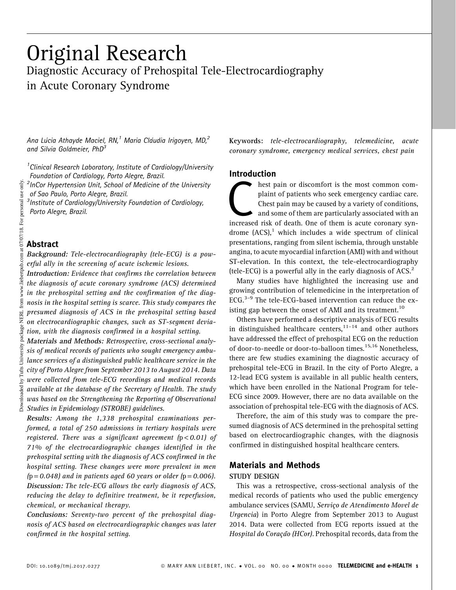# Original Research Diagnostic Accuracy of Prehospital Tele-Electrocardiography in Acute Coronary Syndrome

Ana Lúcia Athayde Maciel, RN,<sup>1</sup> Maria Cláudia Irigoyen, MD,<sup>2</sup> and Silvia Goldmeier, PhD<sup>3</sup>

<sup>1</sup> Clinical Research Laboratory, Institute of Cardiology/University Foundation of Cardiology, Porto Alegre, Brazil.

<sup>2</sup>InCor Hypertension Unit, School of Medicine of the University of Sao Paulo, Porto Alegre, Brazil.

<sup>3</sup> Institute of Cardiology/University Foundation of Cardiology, Porto Alegre, Brazil.

## Abstract

Background: Tele-electrocardiography (tele-ECG) is a powerful ally in the screening of acute ischemic lesions.

Introduction: Evidence that confirms the correlation between the diagnosis of acute coronary syndrome (ACS) determined in the prehospital setting and the confirmation of the diagnosis in the hospital setting is scarce. This study compares the presumed diagnosis of ACS in the prehospital setting based on electrocardiographic changes, such as ST-segment deviation, with the diagnosis confirmed in a hospital setting.

Materials and Methods: Retrospective, cross-sectional analysis of medical records of patients who sought emergency ambulance services of a distinguished public healthcare service in the city of Porto Alegre from September 2013 to August 2014. Data were collected from tele-ECG recordings and medical records available at the database of the Secretary of Health. The study was based on the Strengthening the Reporting of Observational  $\tilde{\AA}$  Studies in Epidemiology (STROBE) guidelines.

Results: Among the 1,338 prehospital examinations performed, a total of 250 admissions in tertiary hospitals were registered. There was a significant agreement  $(p < 0.01)$  of 71% of the electrocardiographic changes identified in the prehospital setting with the diagnosis of ACS confirmed in the hospital setting. These changes were more prevalent in men  $(p = 0.048)$  and in patients aged 60 years or older  $(p = 0.006)$ . Discussion: The tele-ECG allows the early diagnosis of ACS, reducing the delay to definitive treatment, be it reperfusion, chemical, or mechanical therapy.

Conclusions: Seventy-two percent of the prehospital diagnosis of ACS based on electrocardiographic changes was later confirmed in the hospital setting.

Keywords: tele-electrocardiography, telemedicine, acute coronary syndrome, emergency medical services, chest pain

## Introduction

Thest pain or discomfort is the most common com-<br>plaint of patients who seek emergency cardiac care.<br>Chest pain may be caused by a variety of conditions,<br>and some of them are particularly associated with an<br>increased risk plaint of patients who seek emergency cardiac care. Chest pain may be caused by a variety of conditions, and some of them are particularly associated with an drome  $(ACS)^1$ , which includes a wide spectrum of clinical presentations, ranging from silent ischemia, through unstable angina, to acute myocardial infarction (AMI) with and without ST-elevation. In this context, the tele-electrocardiography (tele-ECG) is a powerful ally in the early diagnosis of ACS. $2$ 

Many studies have highlighted the increasing use and growing contribution of telemedicine in the interpretation of ECG. $3-9$  The tele-ECG-based intervention can reduce the existing gap between the onset of AMI and its treatment.<sup>10</sup>

Others have performed a descriptive analysis of ECG results in distinguished healthcare centers,  $1^{1-14}$  and other authors have addressed the effect of prehospital ECG on the reduction of door-to-needle or door-to-balloon times.<sup>15,16</sup> Nonetheless, there are few studies examining the diagnostic accuracy of prehospital tele-ECG in Brazil. In the city of Porto Alegre, a 12-lead ECG system is available in all public health centers, which have been enrolled in the National Program for tele-ECG since 2009. However, there are no data available on the association of prehospital tele-ECG with the diagnosis of ACS.

Therefore, the aim of this study was to compare the presumed diagnosis of ACS determined in the prehospital setting based on electrocardiographic changes, with the diagnosis confirmed in distinguished hospital healthcare centers.

#### Materials and Methods

#### STUDY DESIGN

This was a retrospective, cross-sectional analysis of the medical records of patients who used the public emergency ambulance services (SAMU, Servico de Atendimento Movel de Urgencia) in Porto Alegre from September 2013 to August 2014. Data were collected from ECG reports issued at the Hospital do Coração (HCor). Prehospital records, data from the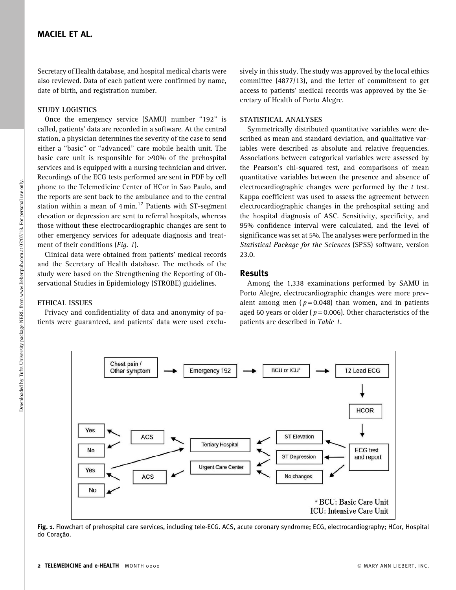## MACIEL ET AL.

Secretary of Health database, and hospital medical charts were also reviewed. Data of each patient were confirmed by name, date of birth, and registration number.

#### STUDY LOGISTICS

Once the emergency service (SAMU) number "192" is called, patients' data are recorded in a software. At the central station, a physician determines the severity of the case to send either a ''basic'' or ''advanced'' care mobile health unit. The basic care unit is responsible for >90% of the prehospital services and is equipped with a nursing technician and driver. Recordings of the ECG tests performed are sent in PDF by cell phone to the Telemedicine Center of HCor in Sao Paulo, and the reports are sent back to the ambulance and to the central station within a mean of  $4 \text{ min.}^{17}$  Patients with ST-segment elevation or depression are sent to referral hospitals, whereas those without these electrocardiographic changes are sent to other emergency services for adequate diagnosis and treatment of their conditions (Fig. 1).

Clinical data were obtained from patients' medical records and the Secretary of Health database. The methods of the study were based on the Strengthening the Reporting of Observational Studies in Epidemiology (STROBE) guidelines.

ETHICAL ISSUES

Privacy and confidentiality of data and anonymity of patients were guaranteed, and patients' data were used exclusively in this study. The study was approved by the local ethics committee (4877/13), and the letter of commitment to get access to patients' medical records was approved by the Secretary of Health of Porto Alegre.

## STATISTICAL ANALYSES

Symmetrically distributed quantitative variables were described as mean and standard deviation, and qualitative variables were described as absolute and relative frequencies. Associations between categorical variables were assessed by the Pearson's chi-squared test, and comparisons of mean quantitative variables between the presence and absence of electrocardiographic changes were performed by the  $t$  test. Kappa coefficient was used to assess the agreement between electrocardiographic changes in the prehospital setting and the hospital diagnosis of ASC. Sensitivity, specificity, and 95% confidence interval were calculated, and the level of significance was set at 5%. The analyses were performed in the Statistical Package for the Sciences (SPSS) software, version 23.0.

### Results

Among the 1,338 examinations performed by SAMU in Porto Alegre, electrocardiographic changes were more prevalent among men ( $p = 0.048$ ) than women, and in patients aged 60 years or older ( $p = 0.006$ ). Other characteristics of the patients are described in Table 1.



Fig. 1. Flowchart of prehospital care services, including tele-ECG. ACS, acute coronary syndrome; ECG, electrocardiography; HCor, Hospital do Coração.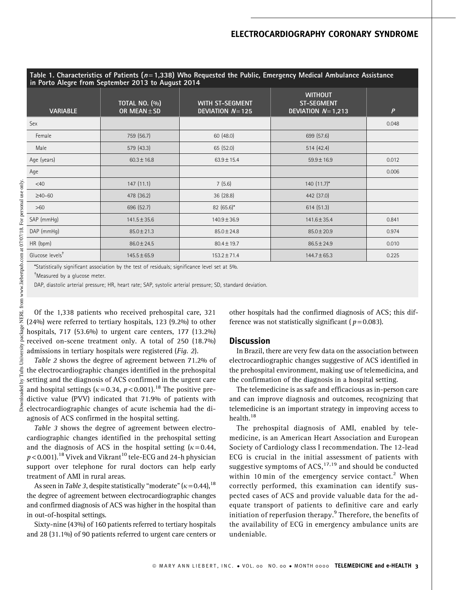## ELECTROCARDIOGRAPHY CORONARY SYNDROME

| Table 1. Characteristics of Patients ( $n=1,338$ ) Who Requested the Public, Emergency Medical Ambulance Assistance<br>in Porto Alegre from September 2013 to August 2014 |                                          |                                      |                                                            |                |  |  |
|---------------------------------------------------------------------------------------------------------------------------------------------------------------------------|------------------------------------------|--------------------------------------|------------------------------------------------------------|----------------|--|--|
| <b>VARIABLE</b>                                                                                                                                                           | <b>TOTAL NO. (%)</b><br>OR MEAN $\pm$ SD | WITH ST-SEGMENT<br>DEVIATION $N=125$ | <b>WITHOUT</b><br><b>ST-SEGMENT</b><br>DEVIATION $N=1,213$ | $\overline{P}$ |  |  |
| Sex                                                                                                                                                                       |                                          |                                      |                                                            | 0.048          |  |  |
| Female                                                                                                                                                                    | 759 (56.7)                               | 60 (48.0)                            | 699 (57.6)                                                 |                |  |  |
| Male                                                                                                                                                                      | 579 (43.3)                               | 65 (52.0)                            | 514(42.4)                                                  |                |  |  |
| Age (years)                                                                                                                                                               | $60.3 \pm 16.8$                          | $63.9 \pm 15.4$                      | $59.9 \pm 16.9$                                            | 0.012          |  |  |
| Age                                                                                                                                                                       |                                          |                                      |                                                            | 0.006          |  |  |
| $<$ 40                                                                                                                                                                    | 147(11.1)                                | 7(5.6)                               | $140(11.7)^*$                                              |                |  |  |
| $≥40-60$                                                                                                                                                                  | 478 (36.2)                               | 36(28.8)                             | 442 (37.0)                                                 |                |  |  |
| >60                                                                                                                                                                       | 696 (52.7)                               | 82 (65.6)*                           | 614(51.3)                                                  |                |  |  |
| SAP (mmHg)                                                                                                                                                                | $141.5 \pm 35.6$                         | $140.9 \pm 36.9$                     | 141.6 ± 35.4                                               | 0.841          |  |  |
| DAP (mmHq)                                                                                                                                                                | $85.0 \pm 21.3$                          | $85.0 \pm 24.8$                      | $85.0 \pm 20.9$                                            | 0.974          |  |  |
| HR (bpm)                                                                                                                                                                  | $86.0 \pm 24.5$                          | $80.4 \pm 19.7$                      | $86.5 \pm 24.9$                                            | 0.010          |  |  |
| Glucose levels <sup>†</sup>                                                                                                                                               | $145.5 \pm 65.9$                         | $153.2 \pm 71.4$                     | 144.7±65.3                                                 | 0.225          |  |  |

\*Statistically significant association by the test of residuals; significance level set at 5%.

<sup>†</sup>Measured by a glucose meter.

DAP, diastolic arterial pressure; HR, heart rate; SAP, systolic arterial pressure; SD, standard deviation.

Of the 1,338 patients who received prehospital care, 321 (24%) were referred to tertiary hospitals, 123 (9.2%) to other hospitals, 717 (53.6%) to urgent care centers, 177 (13.2%) received on-scene treatment only. A total of 250 (18.7%) admissions in tertiary hospitals were registered (Fig. 2).

Table 2 shows the degree of agreement between 71.2% of the electrocardiographic changes identified in the prehospital setting and the diagnosis of ACS confirmed in the urgent care and hospital settings ( $\kappa$  = 0.34, p < 0.001).<sup>18</sup> The positive predictive value (PVV) indicated that 71.9% of patients with electrocardiographic changes of acute ischemia had the diagnosis of ACS confirmed in the hospital setting.

Table 3 shows the degree of agreement between electrocardiographic changes identified in the prehospital setting and the diagnosis of ACS in the hospital setting  $(k = 0.44,$  $p$  < 0.001).<sup>18</sup> Vivek and Vikrant<sup>10</sup> tele-ECG and 24-h physician support over telephone for rural doctors can help early treatment of AMI in rural areas.

As seen in *Table 3*, despite statistically "moderate" ( $\kappa$  = 0.44),<sup>18</sup> the degree of agreement between electrocardiographic changes and confirmed diagnosis of ACS was higher in the hospital than in out-of-hospital settings.

Sixty-nine (43%) of 160 patients referred to tertiary hospitals and 28 (31.1%) of 90 patients referred to urgent care centers or other hospitals had the confirmed diagnosis of ACS; this difference was not statistically significant ( $p = 0.083$ ).

#### **Discussion**

In Brazil, there are very few data on the association between electrocardiographic changes suggestive of ACS identified in the prehospital environment, making use of telemedicina, and the confirmation of the diagnosis in a hospital setting.

The telemedicine is as safe and efficacious as in-person care and can improve diagnosis and outcomes, recognizing that telemedicine is an important strategy in improving access to health.<sup>18</sup>

The prehospital diagnosis of AMI, enabled by telemedicine, is an American Heart Association and European Society of Cardiology class I recommendation. The 12-lead ECG is crucial in the initial assessment of patients with suggestive symptoms of  $ACS$ ,  $^{17,19}$  and should be conducted within 10 min of the emergency service contact.<sup>2</sup> When correctly performed, this examination can identify suspected cases of ACS and provide valuable data for the adequate transport of patients to definitive care and early initiation of reperfusion therapy.<sup>9</sup> Therefore, the benefits of the availability of ECG in emergency ambulance units are undeniable.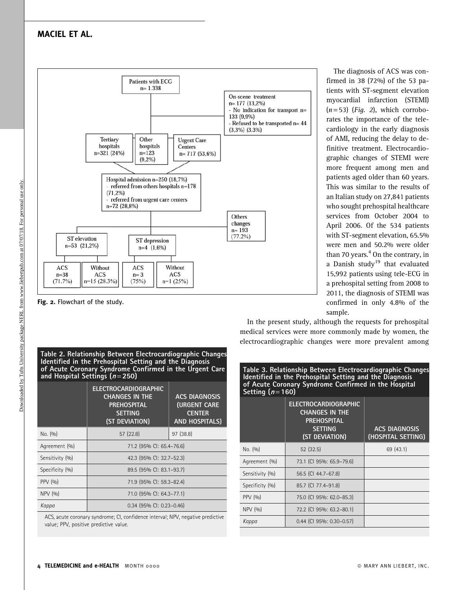# MACIEL ET AL.



Fig. 2. Flowchart of the study.

Table 2. Relationship Between Electrocardiographic Changes Identified in the Prehospital Setting and the Diagnosis of Acute Coronary Syndrome Confirmed in the Urgent Care and Hospital Settings  $(n=250)$ 

|                 | <b>ELECTROCARDIOGRAPHIC</b><br><b>CHANGES IN THE</b><br><b>PREHOSPITAL</b><br><b>SETTING</b><br>(ST DEVIATION) | <b>ACS DIAGNOSIS</b><br><b>(URGENT CARE</b><br><b>CENTER</b><br><b>AND HOSPITALS)</b> |  |
|-----------------|----------------------------------------------------------------------------------------------------------------|---------------------------------------------------------------------------------------|--|
| No. (90)        | 57(22.8)                                                                                                       | 97 (38.8)                                                                             |  |
| Agreement (%)   | 71.2 (95% CI: 65.4-76.6)                                                                                       |                                                                                       |  |
| Sensitivity (%) | 42.3 (95% CI: 32.7-52.3)                                                                                       |                                                                                       |  |
| Specificity (%) | 89.5 (95% CI: 83.1-93.7)                                                                                       |                                                                                       |  |
| PPV (%)         | 71.9 (95% CI: 59.3-82.4)                                                                                       |                                                                                       |  |
| NPV (%)         | 71.0 (95% CI: 64.3-77.1)                                                                                       |                                                                                       |  |
| Kappa           | 0.34 (95% CI: 0.23-0.46)                                                                                       |                                                                                       |  |

ACS, acute coronary syndrome; CI, confidence interval; NPV, negative predictive value; PPV, positive predictive value.

The diagnosis of ACS was confirmed in 38 (72%) of the 53 patients with ST-segment elevation myocardial infarction (STEMI)  $(n=53)$  (*Fig. 2*), which corroborates the importance of the telecardiology in the early diagnosis of AMI, reducing the delay to definitive treatment. Electrocardiographic changes of STEMI were more frequent among men and patients aged older than 60 years. This was similar to the results of an Italian study on 27,841 patients who sought prehospital healthcare services from October 2004 to April 2006. Of the 534 patients with ST-segment elevation, 65.5% were men and 50.2% were older than 70 years. $4$  On the contrary, in a Danish study<sup>19</sup> that evaluated 15,992 patients using tele-ECG in a prehospital setting from 2008 to 2011, the diagnosis of STEMI was confirmed in only 4.8% of the sample.

In the present study, although the requests for prehospital medical services were more commonly made by women, the electrocardiographic changes were more prevalent among

| Table 3. Relationship Between Electrocardiographic Changes<br>Identified in the Prehospital Setting and the Diagnosis<br>of Acute Coronary Syndrome Confirmed in the Hospital<br>Setting $(n=160)$ |                                                                                                                |                                            |  |  |
|----------------------------------------------------------------------------------------------------------------------------------------------------------------------------------------------------|----------------------------------------------------------------------------------------------------------------|--------------------------------------------|--|--|
|                                                                                                                                                                                                    | <b>ELECTROCARDIOGRAPHIC</b><br><b>CHANGES IN THE</b><br><b>PREHOSPITAL</b><br><b>SETTING</b><br>(ST DEVIATION) | <b>ACS DIAGNOSIS</b><br>(HOSPITAL SETTING) |  |  |
| No. (90)                                                                                                                                                                                           | 52(32.5)                                                                                                       | 69 (43.1)                                  |  |  |
| Agreement (%)                                                                                                                                                                                      | 73.1 (CI 95%: 65.9-79.6)                                                                                       |                                            |  |  |
| Sensitivity (%)                                                                                                                                                                                    | 56.5 (CI 44.7-67.8)                                                                                            |                                            |  |  |
| Specificity (%)                                                                                                                                                                                    | 85.7 (CI 77.4-91.8)                                                                                            |                                            |  |  |
| PPV (%)                                                                                                                                                                                            | 75.0 (CI 95%: 62.0-85.3)                                                                                       |                                            |  |  |
| NPV (%)                                                                                                                                                                                            | 72.2 (CI 95%: 63.2-80.1)                                                                                       |                                            |  |  |
| Kappa                                                                                                                                                                                              | $0.44$ (CI 95%: 0.30-0.57)                                                                                     |                                            |  |  |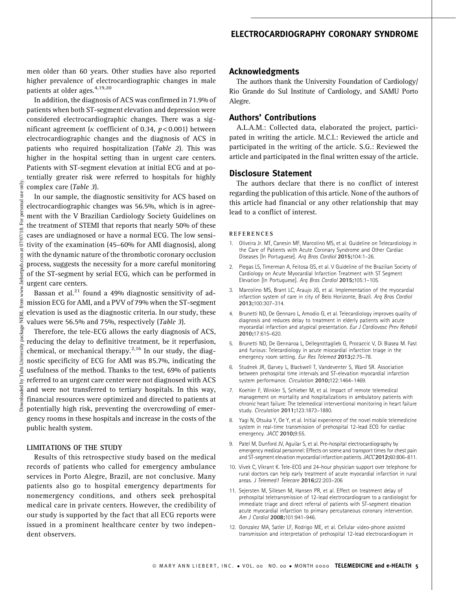men older than 60 years. Other studies have also reported higher prevalence of electrocardiographic changes in male patients at older ages.<sup>4,19,20</sup>

In addition, the diagnosis of ACS was confirmed in 71.9% of patients when both ST-segment elevation and depression were considered electrocardiographic changes. There was a significant agreement ( $\kappa$  coefficient of 0.34,  $p < 0.001$ ) between electrocardiographic changes and the diagnosis of ACS in patients who required hospitalization (Table 2). This was higher in the hospital setting than in urgent care centers. Patients with ST-segment elevation at initial ECG and at potentially greater risk were referred to hospitals for highly complex care (Table 3).

In our sample, the diagnostic sensitivity for ACS based on electrocardiographic changes was 56.5%, which is in agreement with the V Brazilian Cardiology Society Guidelines on the treatment of STEMI that reports that nearly 50% of these cases are undiagnosed or have a normal ECG. The low sensitivity of the examination (45–60% for AMI diagnosis), along with the dynamic nature of the thrombotic coronary occlusion process, suggests the necessity for a more careful monitoring of the ST-segment by serial ECG, which can be performed in urgent care centers.

Bassan et al.<sup>21</sup> found a 49% diagnostic sensitivity of admission ECG for AMI, and a PVV of 79% when the ST-segment elevation is used as the diagnostic criteria. In our study, these values were 56.5% and 75%, respectively (Table 3).

Therefore, the tele-ECG allows the early diagnosis of ACS, reducing the delay to definitive treatment, be it reperfusion, chemical, or mechanical therapy. $2,16$  In our study, the diagnostic specificity of ECG for AMI was 85.7%, indicating the usefulness of the method. Thanks to the test, 69% of patients referred to an urgent care center were not diagnosed with ACS and were not transferred to tertiary hospitals. In this way, financial resources were optimized and directed to patients at potentially high risk, preventing the overcrowding of emergency rooms in these hospitals and increase in the costs of the public health system.

#### LIMITATIONS OF THE STUDY

Results of this retrospective study based on the medical records of patients who called for emergency ambulance services in Porto Alegre, Brazil, are not conclusive. Many patients also go to hospital emergency departments for nonemergency conditions, and others seek prehospital medical care in private centers. However, the credibility of our study is supported by the fact that all ECG reports were issued in a prominent healthcare center by two independent observers.

## Acknowledgments

The authors thank the University Foundation of Cardiology/ Rio Grande do Sul Institute of Cardiology, and SAMU Porto Alegre.

## Authors' Contributions

A.L.A.M.: Collected data, elaborated the project, participated in writing the article. M.C.I.: Reviewed the article and participated in the writing of the article. S.G.: Reviewed the article and participated in the final written essay of the article.

### Disclosure Statement

The authors declare that there is no conflict of interest regarding the publication of this article. None of the authors of this article had financial or any other relationship that may lead to a conflict of interest.

#### **REFERENCES**

- 1. Oliveira Jr. MT, Canesin MF, Marcolino MS, et al. Guideline on Telecardiology in the Care of Patients with Acute Coronary Syndrome and Other Cardiac Diseases [In Portuguese]. Arq Bras Cardiol 2015;104:1–26.
- 2. Piegas LS, Timerman A, Feitosa GS, et al. V Guideline of the Brazilian Society of Cardiology on Acute Myocardial Infarction Treatment with ST Segment Elevation [In Portuguese]. Arq Bras Cardiol 2015;105:1–105.
- 3. Marcolino MS, Brant LC, Araujo JG, et al. Implementation of the myocardial infarction system of care in city of Belo Horizonte, Brazil. Arq Bras Cardiol 2013;100:307–314.
- 4. Brunetti ND, De Gennaro L, Amodio G, et al. Telecardiology improves quality of diagnosis and reduces delay to treatment in elderly patients with acute myocardial infarction and atypical presentation. Eur J Cardiovasc Prev Rehabil 2010;17:615–620.
- 5. Brunetti ND, De Gennaroa L, Dellegrottaglieb G, Procaccic V, Di Biasea M. Fast and furious: Telecardiology in acute miocardial infarction triage in the emergency room setting. Eur Res Telemed 2013;2:75–78.
- 6. Studnek JR, Garvey L, Blackwell T, Vandeventer S, Ward SR. Association between prehospital time intervals and ST-elevation myocardial infarction system performance. Circulation 2010;122:1464–1469.
- 7. Koehler F, Winkler S, Schieber M, et al. Impact of remote telemedical management on mortality and hospitalizations in ambulatory patients with chronic heart failure: The telemedical interventional monitoring in heart failure study. Circulation 2011;123:1873–1880.
- 8. Yagi N, Otsuka Y, Oe Y, et al. Initial experience of the novel mobile telemedicine system in real-time transmission of prehospital 12-lead ECG for cardiac emergency. JACC 2010;9:55.
- 9. Patel M, Dunford JV, Aguilar S, et al. Pre-hospital electrocardiography by emergency medical personnel: Effects on scene and transport times for chest pain and ST-segment elevation myocardial infarction patients.JACC 2012;60:806–811.
- 10. Vivek C, Vikrant K. Tele-ECG and 24-hour physician support over telephone for rural doctors can help early treatment of acute myocardial infarction in rural areas. J Telemed1 Telecare 2016;22:203–206
- 11. Sejersten M, Sillesen M, Hansen PR, et al. Effect on treatment delay of prehospital teletransmission of 12-lead electrocardiogram to a cardiologist for immediate triage and direct referral of patients with ST-segment elevation acute myocardial infarction to primary percutaneous coronary intervention. Am J Cardiol 2008;101:941–946.
- 12. Gonzalez MA, Satler LF, Rodrigo ME, et al. Cellular video-phone assisted transmission and interpretation of prehospital 12-lead electrocardiogram in